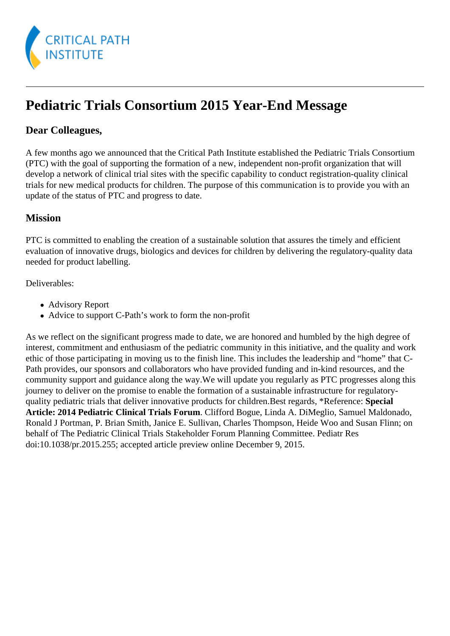

# **Pediatric Trials Consortium 2015 Year-End Message**

## **Dear Colleagues,**

A few months ago we announced that the Critical Path Institute established the Pediatric Trials Consortium (PTC) with the goal of supporting the formation of a new, independent non-profit organization that will develop a network of clinical trial sites with the specific capability to conduct registration-quality clinical trials for new medical products for children. The purpose of this communication is to provide you with an update of the status of PTC and progress to date.

## **Mission**

PTC is committed to enabling the creation of a sustainable solution that assures the timely and efficient evaluation of innovative drugs, biologics and devices for children by delivering the regulatory-quality data needed for product labelling.

Deliverables:

- Advisory Report
- Advice to support C-Path's work to form the non-profit

As we reflect on the significant progress made to date, we are honored and humbled by the high degree of interest, commitment and enthusiasm of the pediatric community in this initiative, and the quality and work ethic of those participating in moving us to the finish line. This includes the leadership and "home" that C-Path provides, our sponsors and collaborators who have provided funding and in-kind resources, and the community support and guidance along the way.We will update you regularly as PTC progresses along this journey to deliver on the promise to enable the formation of a sustainable infrastructure for regulatoryquality pediatric trials that deliver innovative products for children.Best regards, \*Reference: **Special Article: 2014 Pediatric Clinical Trials Forum**. Clifford Bogue, Linda A. DiMeglio, Samuel Maldonado, Ronald J Portman, P. Brian Smith, Janice E. Sullivan, Charles Thompson, Heide Woo and Susan Flinn; on behalf of The Pediatric Clinical Trials Stakeholder Forum Planning Committee. Pediatr Res doi:10.1038/pr.2015.255; accepted article preview online December 9, 2015.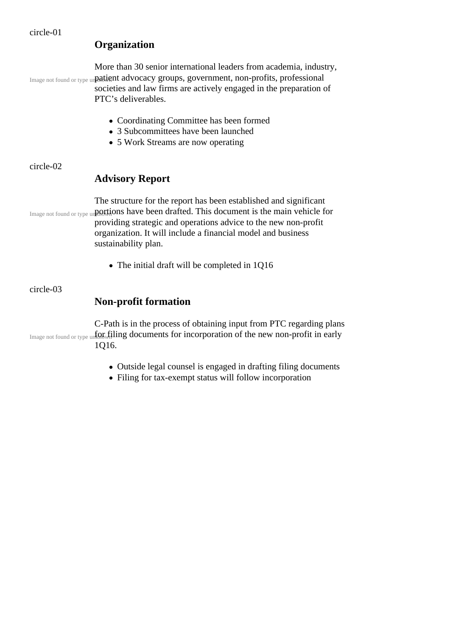## **Organization**

Image not found or type un patient advocacy groups, government, non-profits, professional More than 30 senior international leaders from academia, industry, societies and law firms are actively engaged in the preparation of

PTC's deliverables.

- Coordinating Committee has been formed
- 3 Subcommittees have been launched
- 5 Work Streams are now operating

#### circle-02

## **Advisory Report**

Image not found or type un**portions have been drafted. This document is the main vehicle for** The structure for the report has been established and significant providing strategic and operations advice to the new non-profit organization. It will include a financial model and business sustainability plan.

• The initial draft will be completed in 1Q16

#### circle-03

## **Non-profit formation**

Image not found or type unto  $\iint_{\mathbb{R}}$  filing documents for incorporation of the new non-profit in early C-Path is in the process of obtaining input from PTC regarding plans 1Q16.

- Outside legal counsel is engaged in drafting filing documents
- Filing for tax-exempt status will follow incorporation